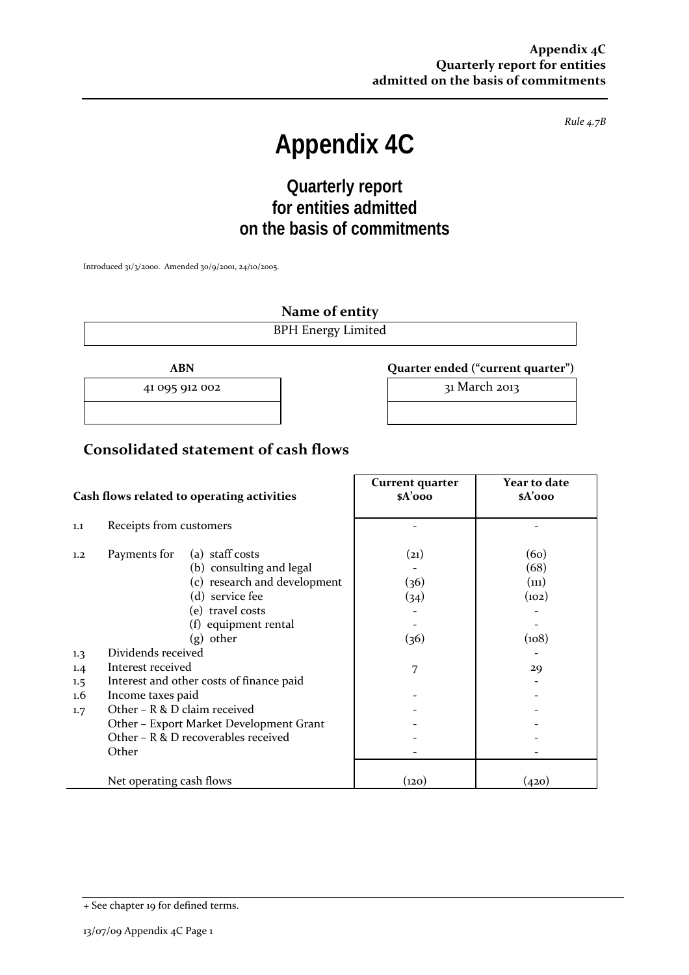*Rule 4.7B*

# **Appendix 4C**

# **Quarterly report for entities admitted on the basis of commitments**

Introduced 31/3/2000. Amended 30/9/2001, 24/10/2005.

**Name of entity**

BPH Energy Limited

**ABN Quarter ended ("current quarter")**

41 095 912 002  **31 March 2013** 

## **Consolidated statement of cash flows**

in the contract of the contract of the contract of the contract of the contract of the contract of the contract of

|                                     | Cash flows related to operating activities                                                                                                                                                                                              | Current quarter<br>\$A'ooo   | Year to date<br>\$A'ooo                |
|-------------------------------------|-----------------------------------------------------------------------------------------------------------------------------------------------------------------------------------------------------------------------------------------|------------------------------|----------------------------------------|
| 1.1                                 | Receipts from customers                                                                                                                                                                                                                 |                              |                                        |
| 1.2                                 | (a) staff costs<br>Payments for<br>(b) consulting and legal<br>(c) research and development<br>(d) service fee<br>(e) travel costs<br>(f) equipment rental<br>$(g)$ other                                                               | (21)<br>(36)<br>(34)<br>(36) | (60)<br>(68)<br>(n1)<br>(102)<br>(108) |
| 1.3<br>1.4<br>1.5<br>$1.6\,$<br>1.7 | Dividends received<br>Interest received<br>Interest and other costs of finance paid<br>Income taxes paid<br>Other $-$ R & D claim received<br>Other - Export Market Development Grant<br>Other $-$ R & D recoverables received<br>Other | 7                            | 29                                     |
|                                     | Net operating cash flows                                                                                                                                                                                                                | (120)                        | (420)                                  |

<sup>+</sup> See chapter 19 for defined terms.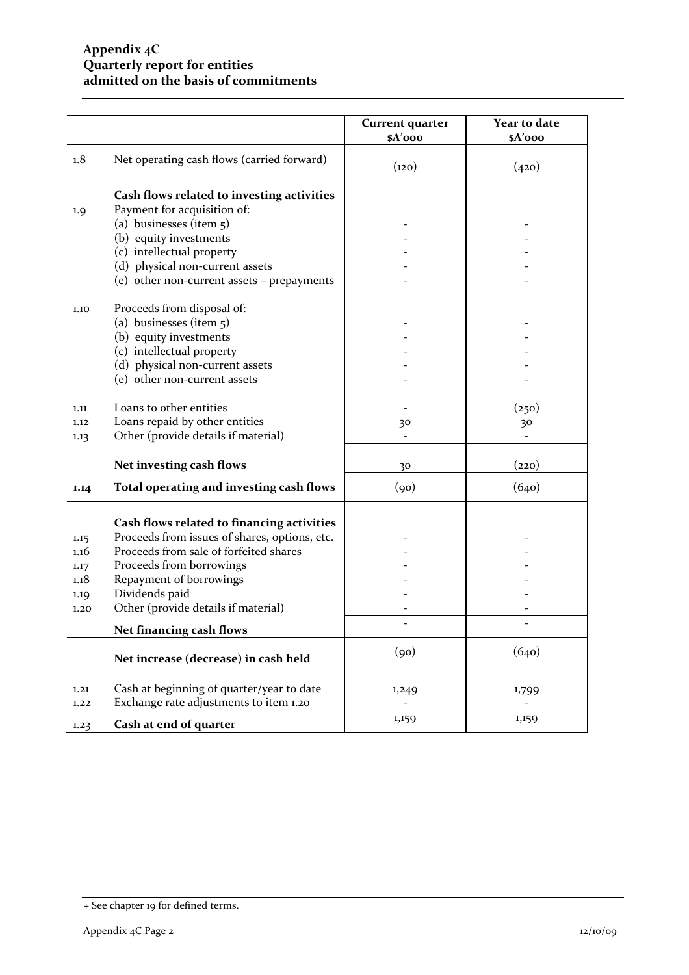|              |                                                                                     | <b>Current quarter</b><br>\$A'ooo | Year to date<br>\$A'ooo |
|--------------|-------------------------------------------------------------------------------------|-----------------------------------|-------------------------|
| 1.8          | Net operating cash flows (carried forward)                                          | (120)                             | (420)                   |
|              | Cash flows related to investing activities                                          |                                   |                         |
| 1.9          | Payment for acquisition of:                                                         |                                   |                         |
|              | (a) businesses (item 5)                                                             |                                   |                         |
|              | (b) equity investments                                                              |                                   |                         |
|              | (c) intellectual property                                                           |                                   |                         |
|              | (d) physical non-current assets                                                     |                                   |                         |
|              | (e) other non-current assets - prepayments                                          |                                   |                         |
| 1.10         | Proceeds from disposal of:                                                          |                                   |                         |
|              | (a) businesses (item 5)                                                             |                                   |                         |
|              | (b) equity investments                                                              |                                   |                         |
|              | (c) intellectual property                                                           |                                   |                         |
|              | (d) physical non-current assets                                                     |                                   |                         |
|              | (e) other non-current assets                                                        |                                   |                         |
| 1.11         | Loans to other entities                                                             |                                   | (250)                   |
| 1.12         | Loans repaid by other entities                                                      | 30                                | 30                      |
| 1.13         | Other (provide details if material)                                                 |                                   |                         |
|              | Net investing cash flows                                                            | 30                                | (220)                   |
| 1.14         | Total operating and investing cash flows                                            | (90)                              | (640)                   |
|              | Cash flows related to financing activities                                          |                                   |                         |
| 1.15         | Proceeds from issues of shares, options, etc.                                       |                                   |                         |
| 1.16         | Proceeds from sale of forfeited shares                                              |                                   |                         |
| 1.17         | Proceeds from borrowings                                                            |                                   |                         |
| 1.18         | Repayment of borrowings                                                             |                                   |                         |
| 1.19         | Dividends paid                                                                      |                                   |                         |
| 1.20         | Other (provide details if material)                                                 |                                   |                         |
|              | Net financing cash flows                                                            |                                   |                         |
|              | Net increase (decrease) in cash held                                                | (90)                              | (640)                   |
| 1.21<br>1.22 | Cash at beginning of quarter/year to date<br>Exchange rate adjustments to item 1.20 | 1,249                             | 1,799                   |
| 1.23         | Cash at end of quarter                                                              | 1,159                             | 1,159                   |

<sup>+</sup> See chapter 19 for defined terms.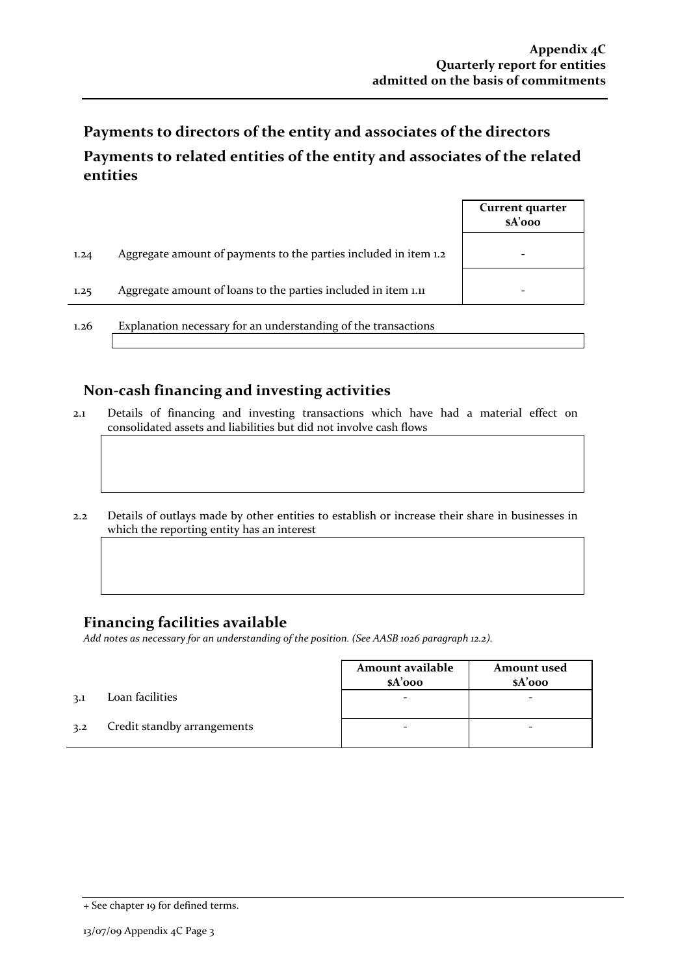# **Payments to directors of the entity and associates of the directors Payments to related entities of the entity and associates of the related entities**

|      |                                                                  | Current quarter<br>\$A'ooo |
|------|------------------------------------------------------------------|----------------------------|
| 1.24 | Aggregate amount of payments to the parties included in item 1.2 |                            |
| 1.25 | Aggregate amount of loans to the parties included in item 1.11   |                            |
| 1.26 | Explanation necessary for an understanding of the transactions   |                            |

#### **Non‐cash financing and investing activities**

- 2.1 Details of financing and investing transactions which have had a material effect on consolidated assets and liabilities but did not involve cash flows
- 2.2 Details of outlays made by other entities to establish or increase their share in businesses in which the reporting entity has an interest

# **Financing facilities available**

*Add notes as necessary for an understanding of the position. (See AASB 1026 paragraph 12.2).*

|     |                             | Amount available<br>$$A'$ 000 | <b>Amount</b> used<br>$$A'$ 000 |
|-----|-----------------------------|-------------------------------|---------------------------------|
| 3.1 | Loan facilities             |                               |                                 |
| 3.2 | Credit standby arrangements |                               |                                 |

<sup>+</sup> See chapter 19 for defined terms.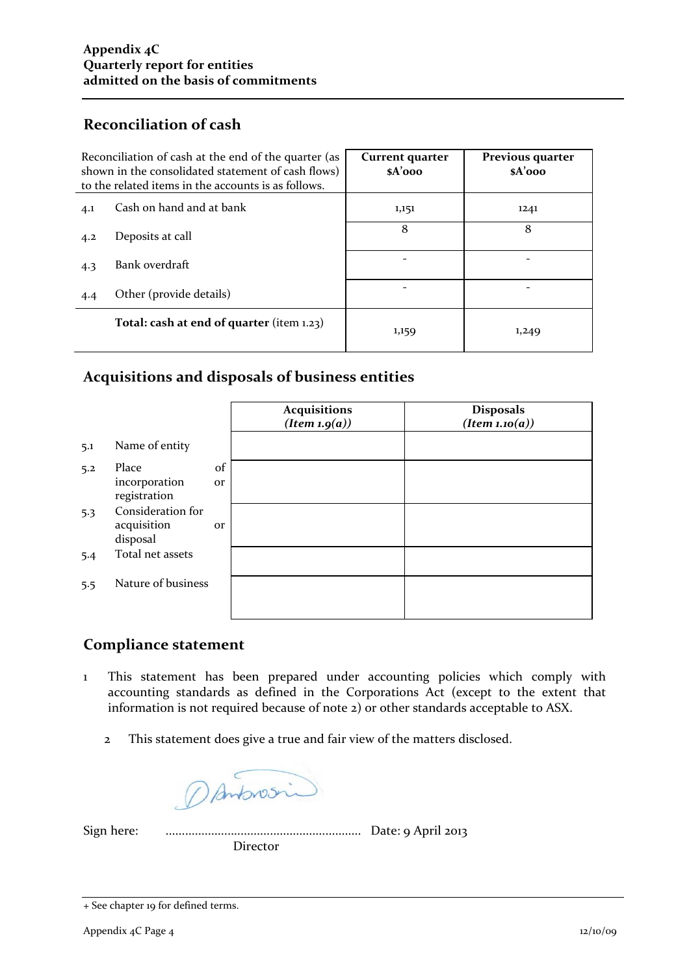## **Reconciliation of cash**

|     | Reconciliation of cash at the end of the quarter (as<br>shown in the consolidated statement of cash flows)<br>to the related items in the accounts is as follows. | Current quarter<br>\$A'ooo | Previous quarter<br>\$A'ooo |
|-----|-------------------------------------------------------------------------------------------------------------------------------------------------------------------|----------------------------|-----------------------------|
| 4.1 | Cash on hand and at bank                                                                                                                                          | 1,151                      | 1241                        |
| 4.2 | Deposits at call                                                                                                                                                  | 8                          | 8                           |
| 4.3 | Bank overdraft                                                                                                                                                    |                            |                             |
| 4.4 | Other (provide details)                                                                                                                                           |                            |                             |
|     | Total: cash at end of quarter (item 1.23)                                                                                                                         | 1,159                      | 1,249                       |

# **Acquisitions and disposals of business entities**

|     |                                              |          | <b>Acquisitions</b><br>(Item 1.9(a)) | <b>Disposals</b><br>(Item 1.10(a)) |
|-----|----------------------------------------------|----------|--------------------------------------|------------------------------------|
| 5.1 | Name of entity                               |          |                                      |                                    |
| 5.2 | Place<br>incorporation<br>registration       | of<br>or |                                      |                                    |
| 5.3 | Consideration for<br>acquisition<br>disposal | or       |                                      |                                    |
| 5.4 | Total net assets                             |          |                                      |                                    |
| 5.5 | Nature of business                           |          |                                      |                                    |

## **Compliance statement**

- 1 This statement has been prepared under accounting policies which comply with accounting standards as defined in the Corporations Act (except to the extent that information is not required because of note 2) or other standards acceptable to ASX.
	- 2 This statement does give a true and fair view of the matters disclosed.

DAnbrosin

Sign here: ............................................................ Date: 9 April 2013 Director

<sup>+</sup> See chapter 19 for defined terms.